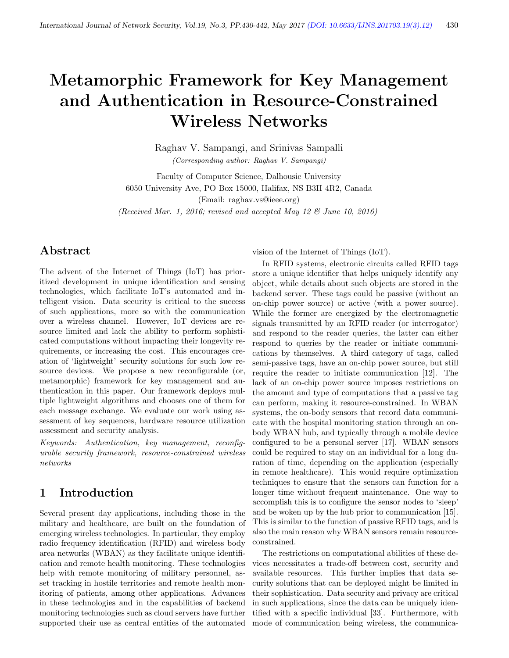# Metamorphic Framework for Key Management and Authentication in Resource-Constrained Wireless Networks

Raghav V. Sampangi, and Srinivas Sampalli (Corresponding author: Raghav V. Sampangi)

Faculty of Computer Science, Dalhousie University 6050 University Ave, PO Box 15000, Halifax, NS B3H 4R2, Canada (Email: raghav.vs@ieee.org)

(Received Mar. 1, 2016; revised and accepted May 12 & June 10, 2016)

# Abstract

The advent of the Internet of Things (IoT) has prioritized development in unique identification and sensing technologies, which facilitate IoT's automated and intelligent vision. Data security is critical to the success of such applications, more so with the communication over a wireless channel. However, IoT devices are resource limited and lack the ability to perform sophisticated computations without impacting their longevity requirements, or increasing the cost. This encourages creation of 'lightweight' security solutions for such low resource devices. We propose a new reconfigurable (or, metamorphic) framework for key management and authentication in this paper. Our framework deploys multiple lightweight algorithms and chooses one of them for each message exchange. We evaluate our work using assessment of key sequences, hardware resource utilization assessment and security analysis.

Keywords: Authentication, key management, reconfigurable security framework, resource-constrained wireless networks

# 1 Introduction

Several present day applications, including those in the military and healthcare, are built on the foundation of emerging wireless technologies. In particular, they employ radio frequency identification (RFID) and wireless body area networks (WBAN) as they facilitate unique identification and remote health monitoring. These technologies help with remote monitoring of military personnel, asset tracking in hostile territories and remote health monitoring of patients, among other applications. Advances in these technologies and in the capabilities of backend monitoring technologies such as cloud servers have further supported their use as central entities of the automated vision of the Internet of Things (IoT).

In RFID systems, electronic circuits called RFID tags store a unique identifier that helps uniquely identify any object, while details about such objects are stored in the backend server. These tags could be passive (without an on-chip power source) or active (with a power source). While the former are energized by the electromagnetic signals transmitted by an RFID reader (or interrogator) and respond to the reader queries, the latter can either respond to queries by the reader or initiate communications by themselves. A third category of tags, called semi-passive tags, have an on-chip power source, but still require the reader to initiate communication [12]. The lack of an on-chip power source imposes restrictions on the amount and type of computations that a passive tag can perform, making it resource-constrained. In WBAN systems, the on-body sensors that record data communicate with the hospital monitoring station through an onbody WBAN hub, and typically through a mobile device configured to be a personal server [17]. WBAN sensors could be required to stay on an individual for a long duration of time, depending on the application (especially in remote healthcare). This would require optimization techniques to ensure that the sensors can function for a longer time without frequent maintenance. One way to accomplish this is to configure the sensor nodes to 'sleep' and be woken up by the hub prior to communication [15]. This is similar to the function of passive RFID tags, and is also the main reason why WBAN sensors remain resourceconstrained.

The restrictions on computational abilities of these devices necessitates a trade-off between cost, security and available resources. This further implies that data security solutions that can be deployed might be limited in their sophistication. Data security and privacy are critical in such applications, since the data can be uniquely identified with a specific individual [33]. Furthermore, with mode of communication being wireless, the communica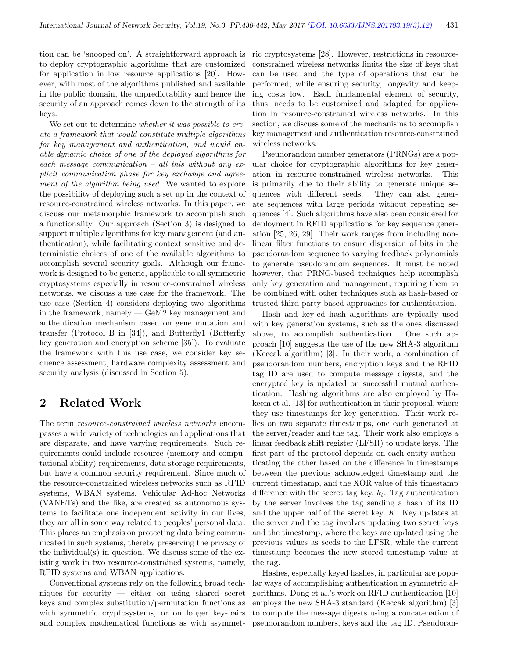tion can be 'snooped on'. A straightforward approach is to deploy cryptographic algorithms that are customized for application in low resource applications [20]. However, with most of the algorithms published and available in the public domain, the unpredictability and hence the security of an approach comes down to the strength of its keys.

We set out to determine *whether it was possible to cre*ate a framework that would constitute multiple algorithms for key management and authentication, and would enable dynamic choice of one of the deployed algorithms for each message communication – all this without any explicit communication phase for key exchange and agreement of the algorithm being used. We wanted to explore the possibility of deploying such a set up in the context of resource-constrained wireless networks. In this paper, we discuss our metamorphic framework to accomplish such a functionality. Our approach (Section 3) is designed to support multiple algorithms for key management (and authentication), while facilitating context sensitive and deterministic choices of one of the available algorithms to accomplish several security goals. Although our framework is designed to be generic, applicable to all symmetric cryptosystems especially in resource-constrained wireless networks, we discuss a use case for the framework. The use case (Section 4) considers deploying two algorithms in the framework, namely — GeM2 key management and authentication mechanism based on gene mutation and transfer (Protocol B in [34]), and Butterfly1 (Butterfly key generation and encryption scheme [35]). To evaluate the framework with this use case, we consider key sequence assessment, hardware complexity assessment and security analysis (discussed in Section 5).

# 2 Related Work

The term resource-constrained wireless networks encompasses a wide variety of technologies and applications that are disparate, and have varying requirements. Such requirements could include resource (memory and computational ability) requirements, data storage requirements, but have a common security requirement. Since much of the resource-constrained wireless networks such as RFID systems, WBAN systems, Vehicular Ad-hoc Networks (VANETs) and the like, are created as autonomous systems to facilitate one independent activity in our lives, they are all in some way related to peoples' personal data. This places an emphasis on protecting data being communicated in such systems, thereby preserving the privacy of the individual(s) in question. We discuss some of the existing work in two resource-constrained systems, namely, RFID systems and WBAN applications.

Conventional systems rely on the following broad techniques for security — either on using shared secret keys and complex substitution/permutation functions as with symmetric cryptosystems, or on longer key-pairs and complex mathematical functions as with asymmetric cryptosystems [28]. However, restrictions in resourceconstrained wireless networks limits the size of keys that can be used and the type of operations that can be performed, while ensuring security, longevity and keeping costs low. Each fundamental element of security, thus, needs to be customized and adapted for application in resource-constrained wireless networks. In this section, we discuss some of the mechanisms to accomplish key management and authentication resource-constrained wireless networks.

Pseudorandom number generators (PRNGs) are a popular choice for cryptographic algorithms for key generation in resource-constrained wireless networks. This is primarily due to their ability to generate unique sequences with different seeds. They can also generate sequences with large periods without repeating sequences [4]. Such algorithms have also been considered for deployment in RFID applications for key sequence generation [25, 26, 29]. Their work ranges from including nonlinear filter functions to ensure dispersion of bits in the pseudorandom sequence to varying feedback polynomials to generate pseudorandom sequences. It must be noted however, that PRNG-based techniques help accomplish only key generation and management, requiring them to be combined with other techniques such as hash-based or trusted-third party-based approaches for authentication.

Hash and key-ed hash algorithms are typically used with key generation systems, such as the ones discussed above, to accomplish authentication. One such approach [10] suggests the use of the new SHA-3 algorithm (Keccak algorithm) [3]. In their work, a combination of pseudorandom numbers, encryption keys and the RFID tag ID are used to compute message digests, and the encrypted key is updated on successful mutual authentication. Hashing algorithms are also employed by Hakeem et al. [13] for authentication in their proposal, where they use timestamps for key generation. Their work relies on two separate timestamps, one each generated at the server/reader and the tag. Their work also employs a linear feedback shift register (LFSR) to update keys. The first part of the protocol depends on each entity authenticating the other based on the difference in timestamps between the previous acknowledged timestamp and the current timestamp, and the XOR value of this timestamp difference with the secret tag key,  $k_t$ . Tag authentication by the server involves the tag sending a hash of its ID and the upper half of the secret key, K. Key updates at the server and the tag involves updating two secret keys and the timestamp, where the keys are updated using the previous values as seeds to the LFSR, while the current timestamp becomes the new stored timestamp value at the tag.

Hashes, especially keyed hashes, in particular are popular ways of accomplishing authentication in symmetric algorithms. Dong et al.'s work on RFID authentication [10] employs the new SHA-3 standard (Keccak algorithm) [3] to compute the message digests using a concatenation of pseudorandom numbers, keys and the tag ID. Pseudoran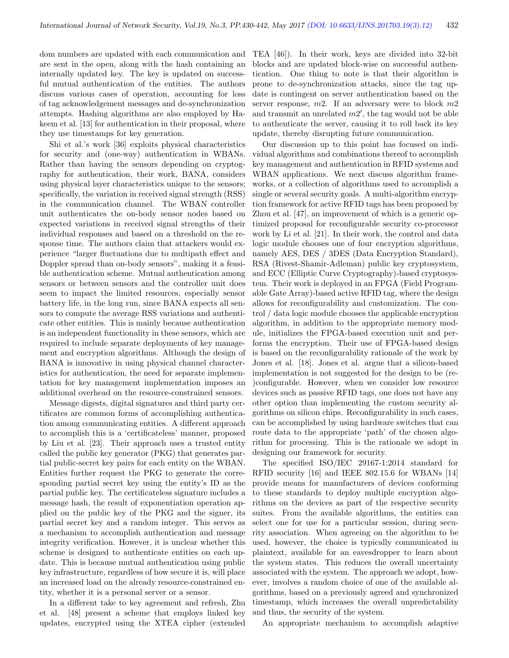dom numbers are updated with each communication and are sent in the open, along with the hash containing an internally updated key. The key is updated on successful mutual authentication of the entities. The authors discuss various cases of operation, accounting for loss of tag acknowledgement messages and de-synchronization attempts. Hashing algorithms are also employed by Hakeem et al. [13] for authentication in their proposal, where they use timestamps for key generation.

Shi et al.'s work [36] exploits physical characteristics for security and (one-way) authentication in WBANs. Rather than having the sensors depending on cryptography for authentication, their work, BANA, considers using physical layer characteristics unique to the sensors; specifically, the variation in received signal strength (RSS) in the communication channel. The WBAN controller unit authenticates the on-body sensor nodes based on expected variations in received signal strengths of their individual responses and based on a threshold on the response time. The authors claim that attackers would experience "larger fluctuations due to multipath effect and Doppler spread than on-body sensors", making it a feasible authentication scheme. Mutual authentication among sensors or between sensors and the controller unit does seem to impact the limited resources, especially sensor battery life, in the long run, since BANA expects all sensors to compute the average RSS variations and authenticate other entities. This is mainly because authentication is an independent functionality in these sensors, which are required to include separate deployments of key management and encryption algorithms. Although the design of BANA is innovative in using physical channel characteristics for authentication, the need for separate implementation for key management implementation imposes an additional overhead on the resource-constrained sensors.

Message digests, digital signatures and third party certificates are common forms of accomplishing authentication among communicating entities. A different approach to accomplish this is a 'certificateless' manner, proposed by Liu et al. [23]. Their approach uses a trusted entity called the public key generator (PKG) that generates partial public-secret key pairs for each entity on the WBAN. Entities further request the PKG to generate the corresponding partial secret key using the entity's ID as the partial public key. The certificateless signature includes a message hash, the result of exponentiation operation applied on the public key of the PKG and the signer, its partial secret key and a random integer. This serves as a mechanism to accomplish authentication and message integrity verification. However, it is unclear whether this scheme is designed to authenticate entities on each update. This is because mutual authentication using public key infrastructure, regardless of how secure it is, will place an increased load on the already resource-constrained entity, whether it is a personal server or a sensor.

In a different take to key agreement and refresh, Zhu et al. [48] present a scheme that employs linked key updates, encrypted using the XTEA cipher (extended

TEA [46]). In their work, keys are divided into 32-bit blocks and are updated block-wise on successful authentication. One thing to note is that their algorithm is prone to de-synchronization attacks, since the tag update is contingent on server authentication based on the server response,  $m2$ . If an adversary were to block  $m2$ and transmit an unrelated  $m2'$ , the tag would not be able to authenticate the server, causing it to roll back its key update, thereby disrupting future communication.

Our discussion up to this point has focused on individual algorithms and combinations thereof to accomplish key management and authentication in RFID systems and WBAN applications. We next discuss algorithm frameworks, or a collection of algorithms used to accomplish a single or several security goals. A multi-algorithm encryption framework for active RFID tags has been proposed by Zhou et al. [47], an improvement of which is a generic optimized proposal for reconfigurable security co-processor work by Li et al. [21]. In their work, the control and data logic module chooses one of four encryption algorithms, namely AES, DES / 3DES (Data Encryption Standard), RSA (Rivest-Shamir-Adleman) public key cryptosystem, and ECC (Elliptic Curve Cryptography)-based cryptosystem. Their work is deployed in an FPGA (Field Programable Gate Array)-based active RFID tag, where the design allows for reconfigurability and customization. The control / data logic module chooses the applicable encryption algorithm, in addition to the appropriate memory module, initializes the FPGA-based execution unit and performs the encryption. Their use of FPGA-based design is based on the reconfigurability rationale of the work by Jones et al. [18]. Jones et al. argue that a silicon-based implementation is not suggested for the design to be (re- )configurable. However, when we consider low resource devices such as passive RFID tags, one does not have any other option than implementing the custom security algorithms on silicon chips. Reconfigurability in such cases, can be accomplished by using hardware switches that can route data to the appropriate 'path' of the chosen algorithm for processing. This is the rationale we adopt in designing our framework for security.

The specified ISO/IEC 29167-1:2014 standard for RFID security [16] and IEEE 802.15.6 for WBANs [14] provide means for manufacturers of devices conforming to these standards to deploy multiple encryption algorithms on the devices as part of the respective security suites. From the available algorithms, the entities can select one for use for a particular session, during security association. When agreeing on the algorithm to be used, however, the choice is typically communicated in plaintext, available for an eavesdropper to learn about the system states. This reduces the overall uncertainty associated with the system. The approach we adopt, however, involves a random choice of one of the available algorithms, based on a previously agreed and synchronized timestamp, which increases the overall unpredictability and thus, the security of the system.

An appropriate mechanism to accomplish adaptive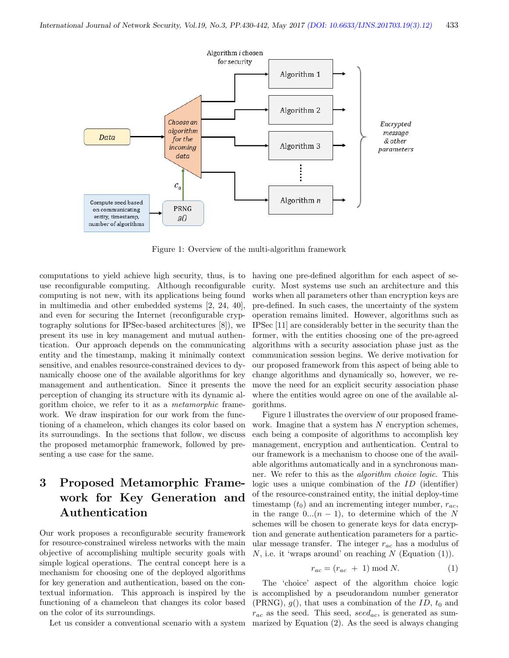

Figure 1: Overview of the multi-algorithm framework

computations to yield achieve high security, thus, is to use reconfigurable computing. Although reconfigurable computing is not new, with its applications being found in multimedia and other embedded systems [2, 24, 40], and even for securing the Internet (reconfigurable cryptography solutions for IPSec-based architectures [8]), we present its use in key management and mutual authentication. Our approach depends on the communicating entity and the timestamp, making it minimally context sensitive, and enables resource-constrained devices to dynamically choose one of the available algorithms for key management and authentication. Since it presents the perception of changing its structure with its dynamic algorithm choice, we refer to it as a metamorphic framework. We draw inspiration for our work from the functioning of a chameleon, which changes its color based on its surroundings. In the sections that follow, we discuss the proposed metamorphic framework, followed by presenting a use case for the same.

# 3 Proposed Metamorphic Framework for Key Generation and Authentication

Our work proposes a reconfigurable security framework for resource-constrained wireless networks with the main objective of accomplishing multiple security goals with simple logical operations. The central concept here is a mechanism for choosing one of the deployed algorithms for key generation and authentication, based on the contextual information. This approach is inspired by the functioning of a chameleon that changes its color based on the color of its surroundings.

having one pre-defined algorithm for each aspect of security. Most systems use such an architecture and this works when all parameters other than encryption keys are pre-defined. In such cases, the uncertainty of the system operation remains limited. However, algorithms such as IPSec [11] are considerably better in the security than the former, with the entities choosing one of the pre-agreed algorithms with a security association phase just as the communication session begins. We derive motivation for our proposed framework from this aspect of being able to change algorithms and dynamically so, however, we remove the need for an explicit security association phase where the entities would agree on one of the available algorithms.

Figure 1 illustrates the overview of our proposed framework. Imagine that a system has  $N$  encryption schemes, each being a composite of algorithms to accomplish key management, encryption and authentication. Central to our framework is a mechanism to choose one of the available algorithms automatically and in a synchronous manner. We refer to this as the algorithm choice logic. This logic uses a unique combination of the ID (identifier) of the resource-constrained entity, the initial deploy-time timestamp  $(t_0)$  and an incrementing integer number,  $r_{ac}$ , in the range  $0...(n-1)$ , to determine which of the N schemes will be chosen to generate keys for data encryption and generate authentication parameters for a particular message transfer. The integer  $r_{ac}$  has a modulus of N, i.e. it 'wraps around' on reaching  $N$  (Equation (1)).

$$
r_{ac} = (r_{ac} + 1) \bmod N. \tag{1}
$$

Let us consider a conventional scenario with a system marized by Equation (2). As the seed is always changing The 'choice' aspect of the algorithm choice logic is accomplished by a pseudorandom number generator (PRNG),  $g()$ , that uses a combination of the ID,  $t_0$  and  $r_{ac}$  as the seed. This seed, seed<sub>ac</sub>, is generated as sum-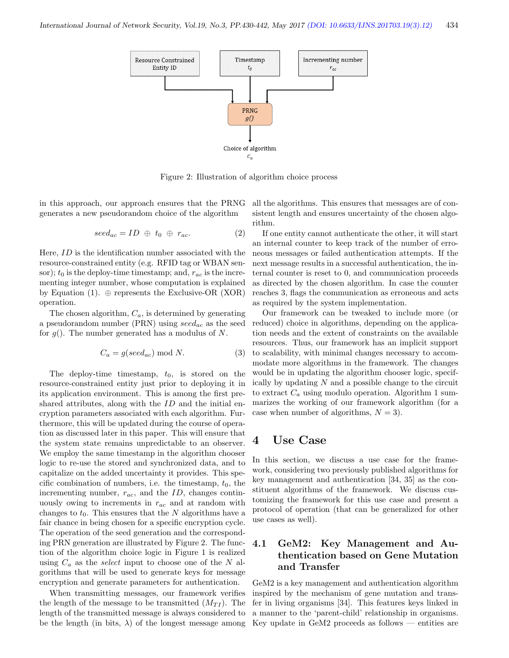

Figure 2: Illustration of algorithm choice process

in this approach, our approach ensures that the PRNG generates a new pseudorandom choice of the algorithm

$$
seed_{ac} = ID \oplus t_0 \oplus r_{ac}.
$$
 (2)

Here, ID is the identification number associated with the resource-constrained entity (e.g. RFID tag or WBAN sensor);  $t_0$  is the deploy-time timestamp; and,  $r_{ac}$  is the incrementing integer number, whose computation is explained by Equation (1).  $\oplus$  represents the Exclusive-OR (XOR) operation.

The chosen algorithm,  $C_a$ , is determined by generating a pseudorandom number (PRN) using  $seed_{ac}$  as the seed for  $q()$ . The number generated has a modulus of N.

$$
C_a = g(seed_{ac}) \bmod N. \tag{3}
$$

The deploy-time timestamp,  $t_0$ , is stored on the resource-constrained entity just prior to deploying it in its application environment. This is among the first preshared attributes, along with the ID and the initial encryption parameters associated with each algorithm. Furthermore, this will be updated during the course of operation as discussed later in this paper. This will ensure that the system state remains unpredictable to an observer. We employ the same timestamp in the algorithm chooser logic to re-use the stored and synchronized data, and to capitalize on the added uncertainty it provides. This specific combination of numbers, i.e. the timestamp,  $t_0$ , the incrementing number,  $r_{ac}$ , and the ID, changes continuously owing to increments in  $r_{ac}$  and at random with changes to  $t_0$ . This ensures that the N algorithms have a fair chance in being chosen for a specific encryption cycle. The operation of the seed generation and the corresponding PRN generation are illustrated by Figure 2. The function of the algorithm choice logic in Figure 1 is realized using  $C_a$  as the *select* input to choose one of the N algorithms that will be used to generate keys for message encryption and generate parameters for authentication.

When transmitting messages, our framework verifies the length of the message to be transmitted  $(M_{TI})$ . The length of the transmitted message is always considered to be the length (in bits,  $\lambda$ ) of the longest message among all the algorithms. This ensures that messages are of consistent length and ensures uncertainty of the chosen algorithm.

If one entity cannot authenticate the other, it will start an internal counter to keep track of the number of erroneous messages or failed authentication attempts. If the next message results in a successful authentication, the internal counter is reset to 0, and communication proceeds as directed by the chosen algorithm. In case the counter reaches 3, flags the communication as erroneous and acts as required by the system implementation.

Our framework can be tweaked to include more (or reduced) choice in algorithms, depending on the application needs and the extent of constraints on the available resources. Thus, our framework has an implicit support to scalability, with minimal changes necessary to accommodate more algorithms in the framework. The changes would be in updating the algorithm chooser logic, specifically by updating  $N$  and a possible change to the circuit to extract  $C_a$  using modulo operation. Algorithm 1 summarizes the working of our framework algorithm (for a case when number of algorithms,  $N = 3$ .

## 4 Use Case

In this section, we discuss a use case for the framework, considering two previously published algorithms for key management and authentication [34, 35] as the constituent algorithms of the framework. We discuss customizing the framework for this use case and present a protocol of operation (that can be generalized for other use cases as well).

#### 4.1 GeM2: Key Management and Authentication based on Gene Mutation and Transfer

GeM2 is a key management and authentication algorithm inspired by the mechanism of gene mutation and transfer in living organisms [34]. This features keys linked in a manner to the 'parent-child' relationship in organisms. Key update in GeM2 proceeds as follows — entities are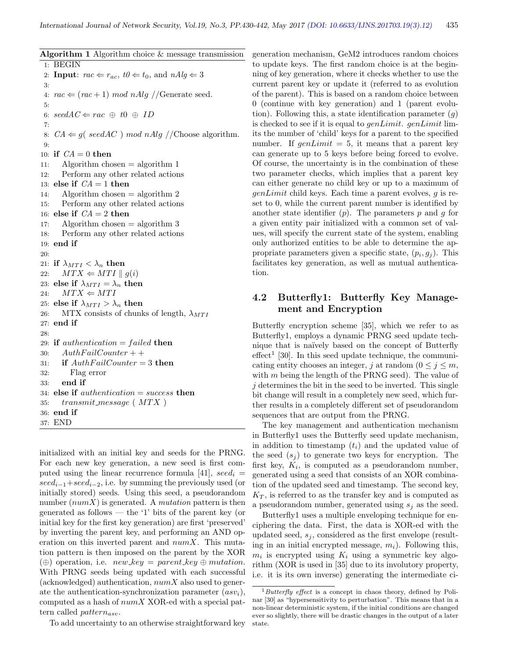| Algorithm 1 Algorithm choice & message transmission |                                                                                                |  |
|-----------------------------------------------------|------------------------------------------------------------------------------------------------|--|
| 1:                                                  | <b>BEGIN</b>                                                                                   |  |
| 2:                                                  | <b>Input</b> : $rac{\mathcal{L}}{r_{ac}}$ , $t\theta \leftarrow t_0$ , and $nAlg \leftarrow 3$ |  |
| 3.                                                  |                                                                                                |  |
| 4:                                                  | $rac{\leftarrow}$ (rac + 1) mod nAlg //Generate seed.                                          |  |
| 5:                                                  |                                                                                                |  |
| 6:                                                  | $seedAC \Leftarrow rac \oplus t0 \oplus ID$                                                    |  |
| 7:                                                  |                                                                                                |  |
| 8:                                                  | $CA \Leftarrow g(\;seed AC \;) \; mod \; nAlg \; // Choose \; algorithm.$                      |  |
| 9:                                                  |                                                                                                |  |
| 10:                                                 | if $CA = 0$ then                                                                               |  |
| 11:                                                 | Algorithm chosen $=$ algorithm 1                                                               |  |
| 12:                                                 | Perform any other related actions                                                              |  |
| 13:                                                 | else if $CA = 1$ then                                                                          |  |
| 14:                                                 | Algorithm chosen $=$ algorithm 2                                                               |  |
| 15:                                                 | Perform any other related actions                                                              |  |
| 16:                                                 | else if $CA = 2$ then                                                                          |  |
| 17:                                                 | Algorithm chosen $=$ algorithm 3                                                               |  |
| 18:                                                 | Perform any other related actions                                                              |  |
| 19:                                                 | end if                                                                                         |  |
| 20:                                                 |                                                                                                |  |
| 21:                                                 | if $\lambda_{MTI} < \lambda_n$ then                                                            |  |
| 22:                                                 | $MTX \Leftarrow MTI \parallel g(i)$                                                            |  |
| 23:                                                 | else if $\lambda_{MTI} = \lambda_n$ then                                                       |  |
| 24:                                                 | $MTX \Leftarrow MTI$                                                                           |  |
| 25:                                                 | else if $\lambda_{MTI} > \lambda_n$ then                                                       |  |
| 26:                                                 | MTX consists of chunks of length, $\lambda_{MTI}$                                              |  |
| 27:                                                 | end if                                                                                         |  |
| 28:                                                 |                                                                                                |  |
| 29:                                                 | if <i>authentication</i> = $failed$ then                                                       |  |
| 30:                                                 | $AuthorFailCounter++$                                                                          |  |
| 31:                                                 | if $AuthorFailCounter = 3$ then                                                                |  |
| 32:                                                 | Flag error                                                                                     |  |
| 33:                                                 | end if                                                                                         |  |
| 34.                                                 | else if $authentication = success$ then                                                        |  |
| 35:                                                 | $transmit$ message (MTX)                                                                       |  |
| 36:                                                 | end if                                                                                         |  |
| 37:                                                 | <b>END</b>                                                                                     |  |

initialized with an initial key and seeds for the PRNG. For each new key generation, a new seed is first computed using the linear recurrence formula [41],  $seed_i$  $seed_{i-1}+seed_{i-2}$ , i.e. by summing the previously used (or initially stored) seeds. Using this seed, a pseudorandom number  $(numX)$  is generated. A *mutation* pattern is then generated as follows — the '1' bits of the parent key (or initial key for the first key generation) are first 'preserved' by inverting the parent key, and performing an AND operation on this inverted parent and  $numX$ . This mutation pattern is then imposed on the parent by the XOR  $(\oplus)$  operation, i.e. *new key = parent key*  $\oplus$  mutation. With PRNG seeds being updated with each successful (acknowledged) authentication,  $numX$  also used to generate the authentication-synchronization parameter  $(asv_i)$ , computed as a hash of  $numX$  XOR-ed with a special pattern called *pattern*<sub>asv</sub>.

To add uncertainty to an otherwise straightforward key

generation mechanism, GeM2 introduces random choices to update keys. The first random choice is at the beginning of key generation, where it checks whether to use the current parent key or update it (referred to as evolution of the parent). This is based on a random choice between 0 (continue with key generation) and 1 (parent evolution). Following this, a state identification parameter  $(q)$ is checked to see if it is equal to  $genLimit$ .  $genLimit$  limits the number of 'child' keys for a parent to the specified number. If  $genLimit = 5$ , it means that a parent key can generate up to 5 keys before being forced to evolve. Of course, the uncertainty is in the combination of these two parameter checks, which implies that a parent key can either generate no child key or up to a maximum of  $genLimit$  child keys. Each time a parent evolves, q is reset to 0, while the current parent number is identified by another state identifier  $(p)$ . The parameters p and q for a given entity pair initialized with a common set of values, will specify the current state of the system, enabling only authorized entities to be able to determine the appropriate parameters given a specific state,  $(p_i, g_j)$ . This facilitates key generation, as well as mutual authentication.

#### 4.2 Butterfly1: Butterfly Key Management and Encryption

Butterfly encryption scheme [35], which we refer to as Butterfly1, employs a dynamic PRNG seed update technique that is na¨ıvely based on the concept of Butterfly  $effect<sup>1</sup>$  [30]. In this seed update technique, the communicating entity chooses an integer, j at random  $(0 \le j \le m$ , with  $m$  being the length of the PRNG seed). The value of j determines the bit in the seed to be inverted. This single bit change will result in a completely new seed, which further results in a completely different set of pseudorandom sequences that are output from the PRNG.

The key management and authentication mechanism in Butterfly1 uses the Butterfly seed update mechanism, in addition to timestamp  $(t_i)$  and the updated value of the seed  $(s_i)$  to generate two keys for encryption. The first key,  $K_i$ , is computed as a pseudorandom number, generated using a seed that consists of an XOR combination of the updated seed and timestamp. The second key,  $K_T$ , is referred to as the transfer key and is computed as a pseudorandom number, generated using  $s_i$  as the seed.

Butterfly1 uses a multiple enveloping technique for enciphering the data. First, the data is XOR-ed with the updated seed,  $s_i$ , considered as the first envelope (resulting in an initial encrypted message,  $m_i$ ). Following this,  $m_i$  is encrypted using  $K_i$  using a symmetric key algorithm (XOR is used in [35] due to its involutory property, i.e. it is its own inverse) generating the intermediate ci-

 $1Butterfly effect$  is a concept in chaos theory, defined by Polinar [30] as "hypersensitivity to perturbation". This means that in a non-linear deterministic system, if the initial conditions are changed ever so slightly, there will be drastic changes in the output of a later state.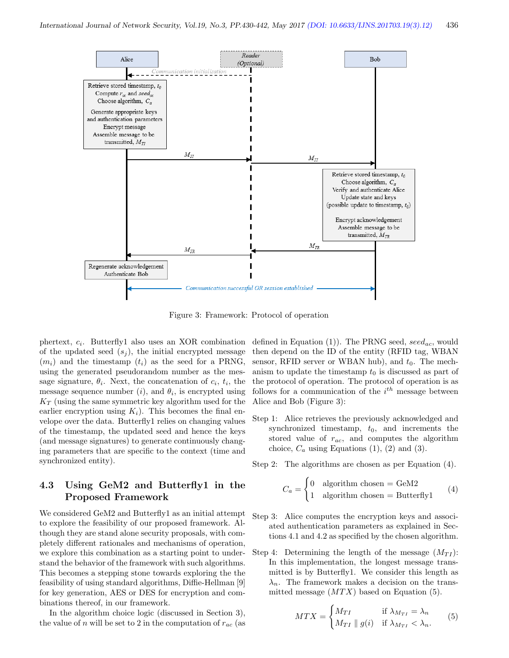

Figure 3: Framework: Protocol of operation

phertext,  $c_i$ . Butterfly1 also uses an XOR combination of the updated seed  $(s_i)$ , the initial encrypted message  $(m_i)$  and the timestamp  $(t_i)$  as the seed for a PRNG, using the generated pseudorandom number as the message signature,  $\theta_i$ . Next, the concatenation of  $c_i$ ,  $t_i$ , the message sequence number  $(i)$ , and  $\theta_i$ , is encrypted using  $K_T$  (using the same symmetric key algorithm used for the earlier encryption using  $K_i$ ). This becomes the final envelope over the data. Butterfly1 relies on changing values of the timestamp, the updated seed and hence the keys (and message signatures) to generate continuously changing parameters that are specific to the context (time and synchronized entity).

#### 4.3 Using GeM2 and Butterfly1 in the Proposed Framework

We considered GeM2 and Butterfly1 as an initial attempt to explore the feasibility of our proposed framework. Although they are stand alone security proposals, with completely different rationales and mechanisms of operation, we explore this combination as a starting point to understand the behavior of the framework with such algorithms. This becomes a stepping stone towards exploring the the feasibility of using standard algorithms, Diffie-Hellman [9] for key generation, AES or DES for encryption and combinations thereof, in our framework.

In the algorithm choice logic (discussed in Section 3), the value of n will be set to 2 in the computation of  $r_{ac}$  (as defined in Equation (1)). The PRNG seed,  $seed_{ac}$ , would then depend on the ID of the entity (RFID tag, WBAN sensor, RFID server or WBAN hub), and  $t_0$ . The mechanism to update the timestamp  $t_0$  is discussed as part of the protocol of operation. The protocol of operation is as follows for a communication of the  $i^{th}$  message between Alice and Bob (Figure 3):

Step 1: Alice retrieves the previously acknowledged and synchronized timestamp,  $t_0$ , and increments the stored value of  $r_{ac}$ , and computes the algorithm choice,  $C_a$  using Equations (1), (2) and (3).

Step 2: The algorithms are chosen as per Equation (4).

$$
C_a = \begin{cases} 0 & \text{algorithm chosen} = \text{GeM2} \\ 1 & \text{algorithm chosen} = \text{Butterfly1} \end{cases} \tag{4}
$$

- Step 3: Alice computes the encryption keys and associated authentication parameters as explained in Sections 4.1 and 4.2 as specified by the chosen algorithm.
- Step 4: Determining the length of the message  $(M_{TI})$ : In this implementation, the longest message transmitted is by Butterfly1. We consider this length as  $\lambda_n$ . The framework makes a decision on the transmitted message  $(MTX)$  based on Equation (5).

$$
MTX = \begin{cases} M_{TI} & \text{if } \lambda_{M_{TI}} = \lambda_n \\ M_{TI} \parallel g(i) & \text{if } \lambda_{M_{TI}} < \lambda_n. \end{cases}
$$
 (5)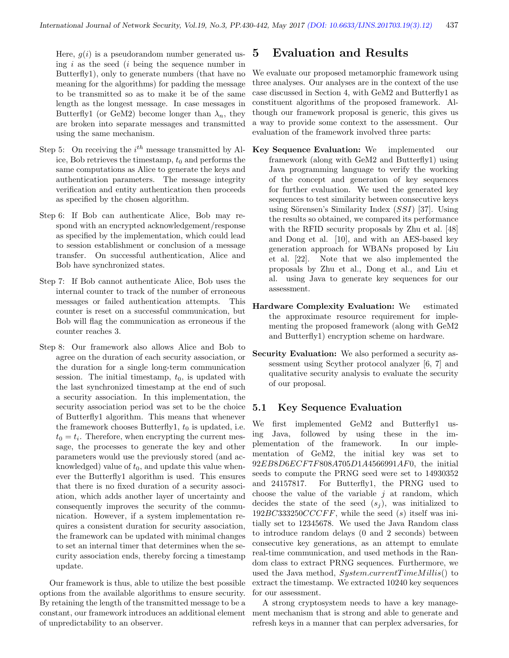Here,  $g(i)$  is a pseudorandom number generated using  $i$  as the seed  $(i)$  being the sequence number in Butterfly1), only to generate numbers (that have no meaning for the algorithms) for padding the message to be transmitted so as to make it be of the same length as the longest message. In case messages in Butterfly1 (or GeM2) become longer than  $\lambda_n$ , they are broken into separate messages and transmitted using the same mechanism.

- Step 5: On receiving the  $i^{th}$  message transmitted by Alice, Bob retrieves the timestamp,  $t_0$  and performs the same computations as Alice to generate the keys and authentication parameters. The message integrity verification and entity authentication then proceeds as specified by the chosen algorithm.
- Step 6: If Bob can authenticate Alice, Bob may respond with an encrypted acknowledgement/response as specified by the implementation, which could lead to session establishment or conclusion of a message transfer. On successful authentication, Alice and Bob have synchronized states.
- Step 7: If Bob cannot authenticate Alice, Bob uses the internal counter to track of the number of erroneous messages or failed authentication attempts. This counter is reset on a successful communication, but Bob will flag the communication as erroneous if the counter reaches 3.
- Step 8: Our framework also allows Alice and Bob to agree on the duration of each security association, or the duration for a single long-term communication session. The initial timestamp,  $t_0$ , is updated with the last synchronized timestamp at the end of such a security association. In this implementation, the security association period was set to be the choice of Butterfly1 algorithm. This means that whenever the framework chooses Butterfly1,  $t_0$  is updated, i.e.  $t_0 = t_i$ . Therefore, when encrypting the current message, the processes to generate the key and other parameters would use the previously stored (and acknowledged) value of  $t_0$ , and update this value whenever the Butterfly1 algorithm is used. This ensures that there is no fixed duration of a security association, which adds another layer of uncertainty and consequently improves the security of the communication. However, if a system implementation requires a consistent duration for security association, the framework can be updated with minimal changes to set an internal timer that determines when the security association ends, thereby forcing a timestamp update.

Our framework is thus, able to utilize the best possible options from the available algorithms to ensure security. By retaining the length of the transmitted message to be a constant, our framework introduces an additional element of unpredictability to an observer.

## 5 Evaluation and Results

We evaluate our proposed metamorphic framework using three analyses. Our analyses are in the context of the use case discussed in Section 4, with GeM2 and Butterfly1 as constituent algorithms of the proposed framework. Although our framework proposal is generic, this gives us a way to provide some context to the assessment. Our evaluation of the framework involved three parts:

- Key Sequence Evaluation: We implemented our framework (along with GeM2 and Butterfly1) using Java programming language to verify the working of the concept and generation of key sequences for further evaluation. We used the generated key sequences to test similarity between consecutive keys using Sörensen's Similarity Index  $(SSI)$  [37]. Using the results so obtained, we compared its performance with the RFID security proposals by Zhu et al. [48] and Dong et al. [10], and with an AES-based key generation approach for WBANs proposed by Liu et al. [22]. Note that we also implemented the proposals by Zhu et al., Dong et al., and Liu et al. using Java to generate key sequences for our assessment.
- Hardware Complexity Evaluation: We estimated the approximate resource requirement for implementing the proposed framework (along with GeM2 and Butterfly1) encryption scheme on hardware.
- Security Evaluation: We also performed a security assessment using Scyther protocol analyzer [6, 7] and qualitative security analysis to evaluate the security of our proposal.

#### 5.1 Key Sequence Evaluation

We first implemented GeM2 and Butterfly1 using Java, followed by using these in the implementation of the framework. In our implementation of GeM2, the initial key was set to 92EB8D6ECF7F808A705D1A4566991AF0, the initial seeds to compute the PRNG seed were set to 14930352 and 24157817. For Butterfly1, the PRNG used to choose the value of the variable  $j$  at random, which decides the state of the seed  $(s_i)$ , was initialized to  $192BC333250CCCFF$ , while the seed (s) itself was initially set to 12345678. We used the Java Random class to introduce random delays (0 and 2 seconds) between consecutive key generations, as an attempt to emulate real-time communication, and used methods in the Random class to extract PRNG sequences. Furthermore, we used the Java method,  $System.current Time Millis()$  to extract the timestamp. We extracted 10240 key sequences for our assessment.

A strong cryptosystem needs to have a key management mechanism that is strong and able to generate and refresh keys in a manner that can perplex adversaries, for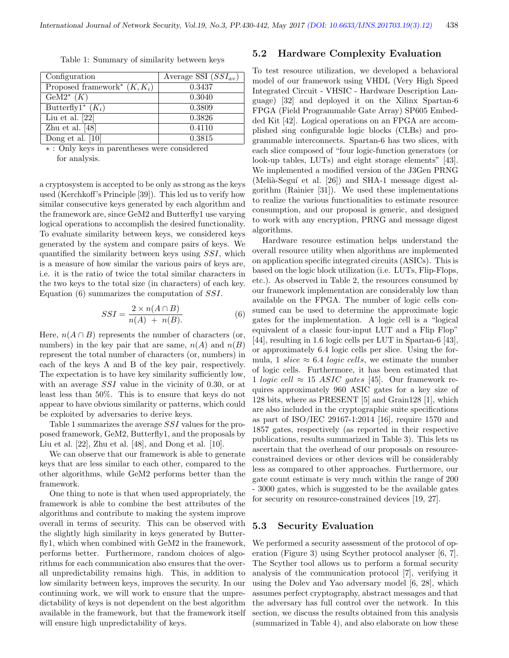| Configuration                              | Average SSI $(SSI_{av})$ |
|--------------------------------------------|--------------------------|
| Proposed framework <sup>*</sup> $(K, K_i)$ | 0.3437                   |
| $\overline{\text{Ge}}M2^*$ $(K)$           | 0.3040                   |
| Butterfly1 <sup>*</sup> $(K_i)$            | 0.3809                   |
| Liu et al. $[22]$                          | 0.3826                   |
| Zhu et al. $[48]$                          | 0.4110                   |
| Dong et al. $\overline{10}$                | 0.3815                   |
| $\sim$ $\sim$ $\sim$                       |                          |

Table 1: Summary of similarity between keys

∗ : Only keys in parentheses were considered for analysis.

a cryptosystem is accepted to be only as strong as the keys used (Kerchkoff's Principle [39]). This led us to verify how similar consecutive keys generated by each algorithm and the framework are, since GeM2 and Butterfly1 use varying logical operations to accomplish the desired functionality. To evaluate similarity between keys, we considered keys generated by the system and compare pairs of keys. We quantified the similarity between keys using SSI, which is a measure of how similar the various pairs of keys are, i.e. it is the ratio of twice the total similar characters in the two keys to the total size (in characters) of each key. Equation (6) summarizes the computation of SSI.

$$
SSI = \frac{2 \times n(A \cap B)}{n(A) + n(B)}\tag{6}
$$

Here,  $n(A \cap B)$  represents the number of characters (or, numbers) in the key pair that are same,  $n(A)$  and  $n(B)$ represent the total number of characters (or, numbers) in each of the keys A and B of the key pair, respectively. The expectation is to have key similarity sufficiently low, with an average *SSI* value in the vicinity of 0.30, or at least less than 50%. This is to ensure that keys do not appear to have obvious similarity or patterns, which could be exploited by adversaries to derive keys.

Table 1 summarizes the average SSI values for the proposed framework, GeM2, Butterfly1, and the proposals by Liu et al. [22], Zhu et al. [48], and Dong et al. [10].

We can observe that our framework is able to generate keys that are less similar to each other, compared to the other algorithms, while GeM2 performs better than the framework.

One thing to note is that when used appropriately, the framework is able to combine the best attributes of the algorithms and contribute to making the system improve overall in terms of security. This can be observed with the slightly high similarity in keys generated by Butterfly1, which when combined with GeM2 in the framework, performs better. Furthermore, random choices of algorithms for each communication also ensures that the overall unpredictability remains high. This, in addition to low similarity between keys, improves the security. In our continuing work, we will work to ensure that the unpredictability of keys is not dependent on the best algorithm available in the framework, but that the framework itself will ensure high unpredictability of keys.

#### 5.2 Hardware Complexity Evaluation

To test resource utilization, we developed a behavioral model of our framework using VHDL (Very High Speed Integrated Circuit - VHSIC - Hardware Description Language) [32] and deployed it on the Xilinx Spartan-6 FPGA (Field Programmable Gate Array) SP605 Embedded Kit [42]. Logical operations on an FPGA are accomplished sing configurable logic blocks (CLBs) and programmable interconnects. Spartan-6 has two slices, with each slice composed of "four logic-function generators (or look-up tables, LUTs) and eight storage elements" [43]. We implemented a modified version of the J3Gen PRNG (Melià-Seguí et al. [26]) and SHA-1 message digest algorithm (Rainier [31]). We used these implementations to realize the various functionalities to estimate resource consumption, and our proposal is generic, and designed to work with any encryption, PRNG and message digest algorithms.

Hardware resource estimation helps understand the overall resource utility when algorithms are implemented on application specific integrated circuits (ASICs). This is based on the logic block utilization (i.e. LUTs, Flip-Flops, etc.). As observed in Table 2, the resources consumed by our framework implementation are considerably low than available on the FPGA. The number of logic cells consumed can be used to determine the approximate logic gates for the implementation. A logic cell is a "logical equivalent of a classic four-input LUT and a Flip Flop" [44], resulting in 1.6 logic cells per LUT in Spartan-6 [43], or approximately 6.4 logic cells per slice. Using the formula, 1 slice  $\approx 6.4$  logic cells, we estimate the number of logic cells. Furthermore, it has been estimated that 1 logic cell  $\approx 15$  ASIC gates [45]. Our framework requires approximately 960 ASIC gates for a key size of 128 bits, where as PRESENT [5] and Grain128 [1], which are also included in the cryptographic suite specifications as part of ISO/IEC 29167-1:2014 [16], require 1570 and 1857 gates, respectively (as reported in their respective publications, results summarized in Table 3). This lets us ascertain that the overhead of our proposals on resourceconstrained devices or other devices will be considerably less as compared to other approaches. Furthermore, our gate count estimate is very much within the range of 200 - 3000 gates, which is suggested to be the available gates for security on resource-constrained devices [19, 27].

#### 5.3 Security Evaluation

We performed a security assessment of the protocol of operation (Figure 3) using Scyther protocol analyser [6, 7]. The Scyther tool allows us to perform a formal security analysis of the communication protocol [7], verifying it using the Dolev and Yao adversary model [6, 28], which assumes perfect cryptography, abstract messages and that the adversary has full control over the network. In this section, we discuss the results obtained from this analysis (summarized in Table 4), and also elaborate on how these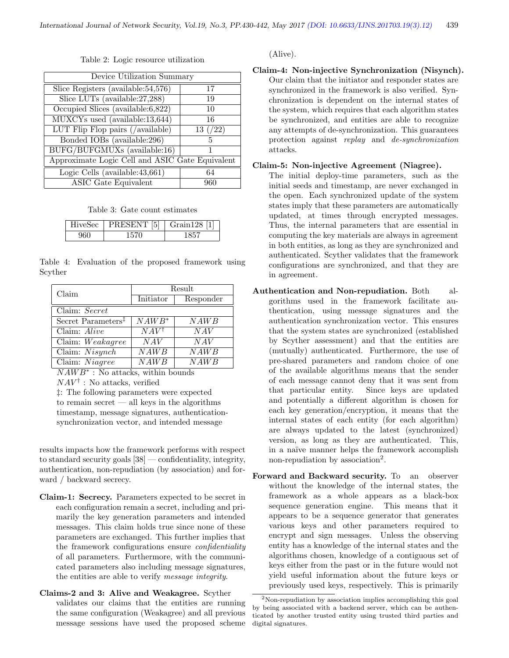|  |  |  | Table 2: Logic resource utilization |
|--|--|--|-------------------------------------|
|--|--|--|-------------------------------------|

| Device Utilization Summary                      |              |  |
|-------------------------------------------------|--------------|--|
| Slice Registers (available: 54, 576)            | 17           |  |
| Slice LUTs (available: 27, 288)                 | 19           |  |
| Occupied Slices (available:6,822)               | 10           |  |
| MUXCYs used (available:13,644)                  | 16           |  |
| LUT Flip Flop pairs (/available)                | $13 \; (22)$ |  |
| Bonded IOBs $\overline{\text{(available:296)}}$ | 5            |  |
| BUFG/BUFGMUXs (available:16)                    |              |  |
| Approximate Logic Cell and ASIC Gate Equivalent |              |  |
| Logic Cells (available: $43,661$ )              | 64           |  |
| ASIC Gate Equivalent                            | 960          |  |

Table 3: Gate count estimates

| HiveSec | PRESENT [5] | $\mid$ Grain 128 [1] |
|---------|-------------|----------------------|
|         | 1570        |                      |

Table 4: Evaluation of the proposed framework using Scyther

| Claim                          | Result          |           |  |  |
|--------------------------------|-----------------|-----------|--|--|
|                                | Initiator       | Responder |  |  |
| Claim: Secret                  |                 |           |  |  |
| Secret Parameters <sup>‡</sup> | $NAWB*$         | NAWB      |  |  |
| Claim: Alive                   | $NAV^{\dagger}$ | NAV       |  |  |
| Claim: Weakagree               | NAV             | NAV       |  |  |
| Claim: $Nisynch$               | NAWB            | NAWB      |  |  |
| Claim: Niagree                 | NAWB            | NAWB      |  |  |

 $NAWB^*$ : No attacks, within bounds

 $NAV^{\dagger}$ : No attacks, verified

‡: The following parameters were expected to remain secret — all keys in the algorithms timestamp, message signatures, authenticationsynchronization vector, and intended message

results impacts how the framework performs with respect to standard security goals [38] — confidentiality, integrity, authentication, non-repudiation (by association) and forward / backward secrecy.

- Claim-1: Secrecy. Parameters expected to be secret in each configuration remain a secret, including and primarily the key generation parameters and intended messages. This claim holds true since none of these parameters are exchanged. This further implies that the framework configurations ensure *confidentiality* of all parameters. Furthermore, with the communicated parameters also including message signatures, the entities are able to verify message integrity.
- Claims-2 and 3: Alive and Weakagree. Scyther validates our claims that the entities are running the same configuration (Weakagree) and all previous message sessions have used the proposed scheme

(Alive).

Claim-4: Non-injective Synchronization (Nisynch). Our claim that the initiator and responder states are synchronized in the framework is also verified. Synchronization is dependent on the internal states of the system, which requires that each algorithm states be synchronized, and entities are able to recognize any attempts of de-synchronization. This guarantees protection against replay and de-synchronization attacks.

#### Claim-5: Non-injective Agreement (Niagree).

The initial deploy-time parameters, such as the initial seeds and timestamp, are never exchanged in the open. Each synchronized update of the system states imply that these parameters are automatically updated, at times through encrypted messages. Thus, the internal parameters that are essential in computing the key materials are always in agreement in both entities, as long as they are synchronized and authenticated. Scyther validates that the framework configurations are synchronized, and that they are in agreement.

- Authentication and Non-repudiation. Both algorithms used in the framework facilitate authentication, using message signatures and the authentication synchronization vector. This ensures that the system states are synchronized (established by Scyther assessment) and that the entities are (mutually) authenticated. Furthermore, the use of pre-shared parameters and random choice of one of the available algorithms means that the sender of each message cannot deny that it was sent from that particular entity. Since keys are updated and potentially a different algorithm is chosen for each key generation/encryption, it means that the internal states of each entity (for each algorithm) are always updated to the latest (synchronized) version, as long as they are authenticated. This, in a naïve manner helps the framework accomplish non-repudiation by association<sup>2</sup>.
- Forward and Backward security. To an observer without the knowledge of the internal states, the framework as a whole appears as a black-box sequence generation engine. This means that it appears to be a sequence generator that generates various keys and other parameters required to encrypt and sign messages. Unless the observing entity has a knowledge of the internal states and the algorithms chosen, knowledge of a contiguous set of keys either from the past or in the future would not yield useful information about the future keys or previously used keys, respectively. This is primarily

<sup>2</sup>Non-repudiation by association implies accomplishing this goal by being associated with a backend server, which can be authenticated by another trusted entity using trusted third parties and digital signatures.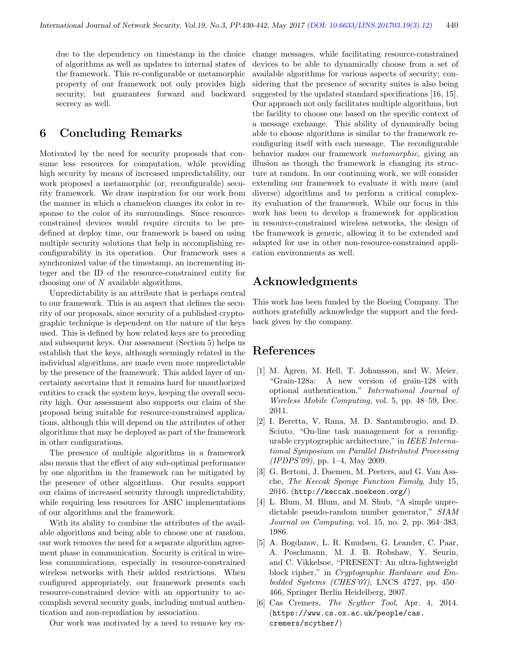due to the dependency on timestamp in the choice of algorithms as well as updates to internal states of the framework. This re-configurable or metamorphic property of our framework not only provides high security, but guarantees forward and backward secrecy as well.

## 6 Concluding Remarks

Motivated by the need for security proposals that consume less resources for computation, while providing high security by means of increased unpredictability, our work proposed a metamorphic (or, reconfigurable) security framework. We draw inspiration for our work from the manner in which a chameleon changes its color in response to the color of its surroundings. Since resourceconstrained devices would require circuits to be predefined at deploy time, our framework is based on using multiple security solutions that help in accomplishing reconfigurability in its operation. Our framework uses a synchronized value of the timestamp, an incrementing integer and the ID of the resource-constrained entity for choosing one of N available algorithms.

Unpredictability is an attribute that is perhaps central to our framework. This is an aspect that defines the security of our proposals, since security of a published cryptographic technique is dependent on the nature of the keys used. This is defined by how related keys are to preceding and subsequent keys. Our assessment (Section 5) helps us establish that the keys, although seemingly related in the individual algorithms, are made even more unpredictable by the presence of the framework. This added layer of uncertainty ascertains that it remains hard for unauthorized entities to crack the system keys, keeping the overall security high. Our assessment also supports our claim of the proposal being suitable for resource-constrained applications, although this will depend on the attributes of other algorithms that may be deployed as part of the framework in other configurations.

The presence of multiple algorithms in a framework also means that the effect of any sub-optimal performance by one algorithm in the framework can be mitigated by the presence of other algorithms. Our results support our claims of increased security through unpredictability, while requiring less resources for ASIC implementations of our algorithms and the framework.

With its ability to combine the attributes of the available algorithms and being able to choose one at random, our work removes the need for a separate algorithm agreement phase in communication. Security is critical in wireless communications, especially in resource-constrained wireless networks with their added restrictions. When configured appropriately, our framework presents each resource-constrained device with an opportunity to accomplish several security goals, including mutual authentication and non-repudiation by association.

Our work was motivated by a need to remove key ex-

change messages, while facilitating resource-constrained devices to be able to dynamically choose from a set of available algorithms for various aspects of security; considering that the presence of security suites is also being suggested by the updated standard specifications [16, 15]. Our approach not only facilitates multiple algorithms, but the facility to choose one based on the specific context of a message exchange. This ability of dynamically being able to choose algorithms is similar to the framework reconfiguring itself with each message. The reconfigurable behavior makes our framework metamorphic, giving an illusion as though the framework is changing its structure at random. In our continuing work, we will consider extending our framework to evaluate it with more (and diverse) algorithms and to perform a critical complexity evaluation of the framework. While our focus in this work has been to develop a framework for application in resource-constrained wireless networks, the design of the framework is generic, allowing it to be extended and adapted for use in other non-resource-constrained application environments as well.

## Acknowledgments

This work has been funded by the Boeing Company. The authors gratefully acknowledge the support and the feedback given by the company.

## References

- [1] M. Ågren, M. Hell, T. Johansson, and W. Meier, "Grain-128a: A new version of grain-128 with optional authentication," International Journal of Wireless Mobile Computing, vol. 5, pp. 48–59, Dec. 2011.
- [2] I. Beretta, V. Rana, M. D. Santambrogio, and D. Sciuto, "On-line task management for a reconfigurable cryptographic architecture," in IEEE International Symposium on Parallel Distributed Processing (IPDPS'09), pp. 1–4, May 2009.
- [3] G. Bertoni, J. Daemen, M. Peeters, and G. Van Assche, The Keccak Sponge Function Family, July 15, 2016. (http://keccak.noekeon.org/)
- [4] L. Blum, M. Blum, and M. Shub, "A simple unpredictable pseudo-random number generator," SIAM Journal on Computing, vol. 15, no. 2, pp. 364–383, 1986.
- [5] A. Bogdanov, L. R. Knudsen, G. Leander, C. Paar, A. Poschmann, M. J. B. Robshaw, Y. Seurin, and C. Vikkelsoe, "PRESENT: An ultra-lightweight block cipher," in Cryptographic Hardware and Embedded Systems (CHES'07), LNCS 4727, pp. 450– 466, Springer Berlin Heidelberg, 2007.
- [6] Cas Cremers, The Scyther Tool, Apr. 4, 2014. (https://www.cs.ox.ac.uk/people/cas. cremers/scyther/)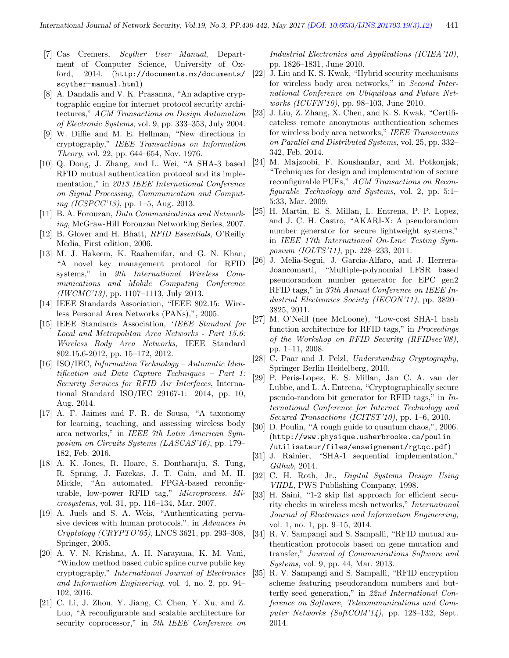- [7] Cas Cremers, Scyther User Manual, Department of Computer Science, University of Oxford, 2014. (http://documents.mx/documents/ scyther-manual.html)
- [8] A. Dandalis and V. K. Prasanna, "An adaptive cryptographic engine for internet protocol security architectures," ACM Transactions on Design Automation of Electronic Systems, vol. 9, pp. 333–353, July 2004.
- [9] W. Diffie and M. E. Hellman, "New directions in cryptography," IEEE Transactions on Information Theory, vol. 22, pp. 644–654, Nov. 1976.
- [10] Q. Dong, J. Zhang, and L. Wei, "A SHA-3 based RFID mutual authentication protocol and its implementation," in 2013 IEEE International Conference on Signal Processing, Communication and Comput*ing (ICSPCC'13)*, pp. 1–5, Aug. 2013.
- [11] B. A. Forouzan, Data Communications and Networking, McGraw-HilI Forouzan Networking Series, 2007.
- [12] B. Glover and H. Bhatt, RFID Essentials, O'Reilly Media, First edition, 2006.
- [13] M. J. Hakeem, K. Raahemifar, and G. N. Khan, "A novel key management protocol for RFID systems," in 9th International Wireless Communications and Mobile Computing Conference  $(IWCMC'13)$ , pp. 1107–1113, July 2013.
- [14] IEEE Standards Association, "IEEE 802.15: Wireless Personal Area Networks (PANs),", 2005.
- [15] IEEE Standards Association, 'IEEE Standard for Local and Metropolitan Area Networks - Part 15.6: Wireless Body Area Networks, IEEE Standard 802.15.6-2012, pp. 15–172, 2012.
- [16] ISO/IEC, Information Technology Automatic Identification and Data Capture Techniques – Part 1: Security Services for RFID Air Interfaces, International Standard ISO/IEC 29167-1: 2014, pp. 10, Aug. 2014.
- [17] A. F. Jaimes and F. R. de Sousa, "A taxonomy for learning, teaching, and assessing wireless body area networks," in IEEE 7th Latin American Symposium on Circuits Systems (LASCAS'16), pp. 179– 182, Feb. 2016.
- [18] A. K. Jones, R. Hoare, S. Dontharaju, S. Tung, R. Sprang, J. Fazekas, J. T. Cain, and M. H. Mickle, "An automated, FPGA-based reconfigurable, low-power RFID tag," Microprocess. Microsystems, vol. 31, pp. 116–134, Mar. 2007.
- [19] A. Juels and S. A. Weis, "Authenticating pervasive devices with human protocols,". in Advances in Cryptology (CRYPTO'05), LNCS 3621, pp. 293–308, Springer, 2005.
- [20] A. V. N. Krishna, A. H. Narayana, K. M. Vani, "Window method based cubic spline curve public key cryptography," International Journal of Electronics and Information Engineering, vol. 4, no. 2, pp. 94– 102, 2016.
- [21] C. Li, J. Zhou, Y. Jiang, C. Chen, Y. Xu, and Z. Luo, "A reconfigurable and scalable architecture for security coprocessor," in 5th IEEE Conference on

Industrial Electronics and Applications (ICIEA'10), pp. 1826–1831, June 2010.

- [22] J. Liu and K. S. Kwak, "Hybrid security mechanisms for wireless body area networks," in Second International Conference on Ubiquitous and Future Networks (ICUFN'10), pp. 98–103, June 2010.
- [23] J. Liu, Z. Zhang, X. Chen, and K. S. Kwak, "Certificateless remote anonymous authentication schemes for wireless body area networks," IEEE Transactions on Parallel and Distributed Systems, vol. 25, pp. 332– 342, Feb. 2014.
- [24] M. Majzoobi, F. Koushanfar, and M. Potkonjak, "Techniques for design and implementation of secure reconfigurable PUFs," ACM Transactions on Reconfigurable Technology and Systems, vol. 2, pp. 5:1– 5:33, Mar. 2009.
- [25] H. Martin, E. S. Millan, L. Entrena, P. P. Lopez, and J. C. H. Castro, "AKARI-X: A pseudorandom number generator for secure lightweight systems," in IEEE 17th International On-Line Testing Symposium (IOLTS'11), pp. 228–233, 2011.
- [26] J. Melia-Segui, J. Garcia-Alfaro, and J. Herrera-Joancomarti, "Multiple-polynomial LFSR based pseudorandom number generator for EPC gen2 RFID tags," in 37th Annual Conference on IEEE Industrial Electronics Society (IECON'11), pp. 3820– 3825, 2011.
- [27] M. O'Neill (nee McLoone), "Low-cost SHA-1 hash function architecture for RFID tags," in Proceedings of the Workshop on RFID Security (RFIDsec'08), pp. 1–11, 2008.
- [28] C. Paar and J. Pelzl, Understanding Cryptography, Springer Berlin Heidelberg, 2010.
- [29] P. Peris-Lopez, E. S. Millan, Jan C. A. van der Lubbe, and L. A. Entrena, "Cryptographically secure pseudo-random bit generator for RFID tags," in International Conference for Internet Technology and Secured Transactions (ICITST'10), pp. 1–6, 2010.
- [30] D. Poulin, "A rough guide to quantum chaos,", 2006. (http://www.physique.usherbrooke.ca/poulin /utilisateur/files/enseignement/rgtqc.pdf)
- [31] J. Rainier, "SHA-1 sequential implementation," Github, 2014.
- [32] C. H. Roth, Jr., Digital Systems Design Using VHDL, PWS Publishing Company, 1998.
- [33] H. Saini, "1-2 skip list approach for efficient security checks in wireless mesh networks," International Journal of Electronics and Information Engineering, vol. 1, no. 1, pp. 9–15, 2014.
- [34] R. V. Sampangi and S. Sampalli, "RFID mutual authentication protocols based on gene mutation and transfer," Journal of Communications Software and Systems, vol. 9, pp. 44, Mar. 2013.
- [35] R. V. Sampangi and S. Sampalli, "RFID encryption scheme featuring pseudorandom numbers and butterfly seed generation," in 22nd International Conference on Software, Telecommunications and Computer Networks (SoftCOM'14), pp. 128–132, Sept. 2014.